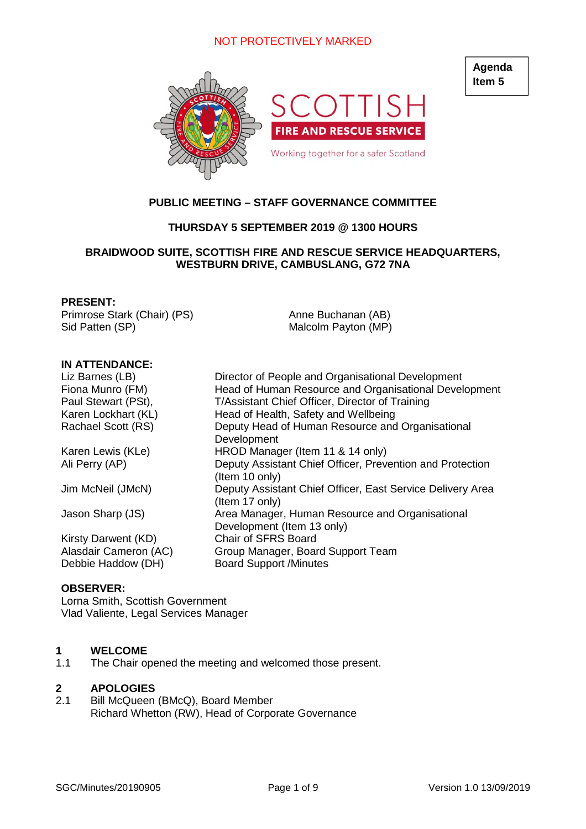

# **PUBLIC MEETING – STAFF GOVERNANCE COMMITTEE**

# **THURSDAY 5 SEPTEMBER 2019 @ 1300 HOURS**

## **BRAIDWOOD SUITE, SCOTTISH FIRE AND RESCUE SERVICE HEADQUARTERS, WESTBURN DRIVE, CAMBUSLANG, G72 7NA**

#### **PRESENT:**

Primrose Stark (Chair) (PS) Sid Patten (SP)

Anne Buchanan (AB) Malcolm Payton (MP)

#### **IN ATTENDANCE:**

| Liz Barnes (LB)       | Director of People and Organisational Development          |
|-----------------------|------------------------------------------------------------|
| Fiona Munro (FM)      | Head of Human Resource and Organisational Development      |
| Paul Stewart (PSt),   | T/Assistant Chief Officer, Director of Training            |
| Karen Lockhart (KL)   | Head of Health, Safety and Wellbeing                       |
| Rachael Scott (RS)    | Deputy Head of Human Resource and Organisational           |
|                       | Development                                                |
| Karen Lewis (KLe)     | HROD Manager (Item 11 & 14 only)                           |
| Ali Perry (AP)        | Deputy Assistant Chief Officer, Prevention and Protection  |
|                       | (Item 10 only)                                             |
| Jim McNeil (JMcN)     | Deputy Assistant Chief Officer, East Service Delivery Area |
|                       | (Item 17 only)                                             |
| Jason Sharp (JS)      | Area Manager, Human Resource and Organisational            |
|                       | Development (Item 13 only)                                 |
| Kirsty Darwent (KD)   | <b>Chair of SFRS Board</b>                                 |
| Alasdair Cameron (AC) | Group Manager, Board Support Team                          |
| Debbie Haddow (DH)    | <b>Board Support /Minutes</b>                              |

#### **OBSERVER:**

Lorna Smith, Scottish Government Vlad Valiente, Legal Services Manager

#### **1 WELCOME**

1.1 The Chair opened the meeting and welcomed those present.

# **2 APOLOGIES**

Bill McQueen (BMcQ), Board Member Richard Whetton (RW), Head of Corporate Governance **Agenda Item 5**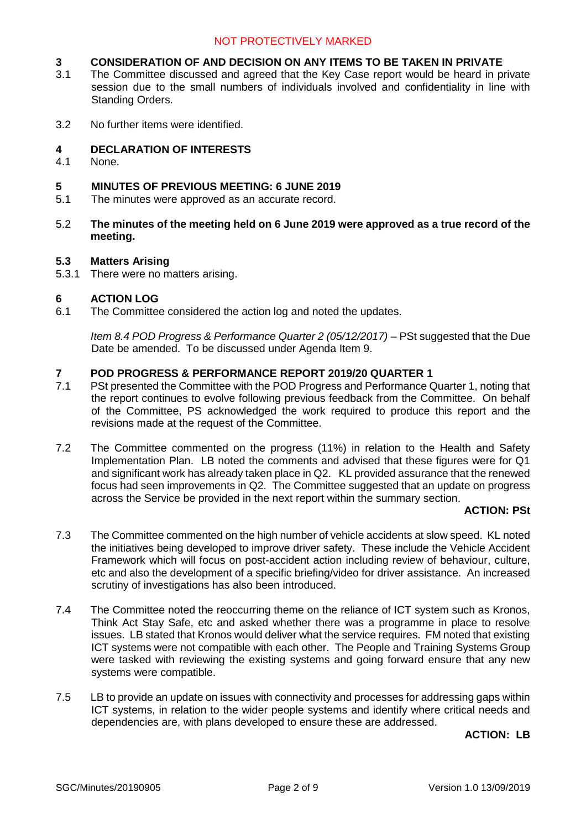# **3 CONSIDERATION OF AND DECISION ON ANY ITEMS TO BE TAKEN IN PRIVATE**<br>3.1 The Committee discussed and agreed that the Key Case report would be heard in p

- The Committee discussed and agreed that the Key Case report would be heard in private session due to the small numbers of individuals involved and confidentiality in line with Standing Orders.
- 3.2 No further items were identified.

## **4 DECLARATION OF INTERESTS**

4.1 None.

#### **5 MINUTES OF PREVIOUS MEETING: 6 JUNE 2019**

- 5.1 The minutes were approved as an accurate record.
- 5.2 **The minutes of the meeting held on 6 June 2019 were approved as a true record of the meeting.**

#### **5.3 Matters Arising**

5.3.1 There were no matters arising.

## **6 ACTION LOG**

6.1 The Committee considered the action log and noted the updates.

*Item 8.4 POD Progress & Performance Quarter 2 (05/12/2017)* – PSt suggested that the Due Date be amended. To be discussed under Agenda Item 9.

#### **7 POD PROGRESS & PERFORMANCE REPORT 2019/20 QUARTER 1**

- 7.1 PSt presented the Committee with the POD Progress and Performance Quarter 1, noting that the report continues to evolve following previous feedback from the Committee. On behalf of the Committee, PS acknowledged the work required to produce this report and the revisions made at the request of the Committee.
- 7.2 The Committee commented on the progress (11%) in relation to the Health and Safety Implementation Plan. LB noted the comments and advised that these figures were for Q1 and significant work has already taken place in Q2. KL provided assurance that the renewed focus had seen improvements in Q2. The Committee suggested that an update on progress across the Service be provided in the next report within the summary section.

#### **ACTION: PSt**

- 7.3 The Committee commented on the high number of vehicle accidents at slow speed. KL noted the initiatives being developed to improve driver safety. These include the Vehicle Accident Framework which will focus on post-accident action including review of behaviour, culture, etc and also the development of a specific briefing/video for driver assistance. An increased scrutiny of investigations has also been introduced.
- 7.4 The Committee noted the reoccurring theme on the reliance of ICT system such as Kronos, Think Act Stay Safe, etc and asked whether there was a programme in place to resolve issues. LB stated that Kronos would deliver what the service requires. FM noted that existing ICT systems were not compatible with each other. The People and Training Systems Group were tasked with reviewing the existing systems and going forward ensure that any new systems were compatible.
- 7.5 LB to provide an update on issues with connectivity and processes for addressing gaps within ICT systems, in relation to the wider people systems and identify where critical needs and dependencies are, with plans developed to ensure these are addressed.

#### **ACTION: LB**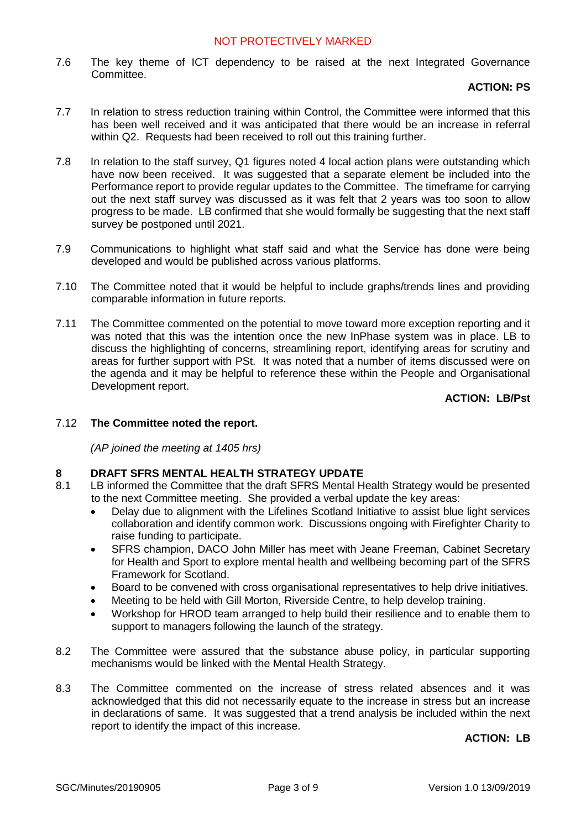7.6 The key theme of ICT dependency to be raised at the next Integrated Governance **Committee** 

## **ACTION: PS**

- 7.7 In relation to stress reduction training within Control, the Committee were informed that this has been well received and it was anticipated that there would be an increase in referral within Q2. Requests had been received to roll out this training further.
- 7.8 In relation to the staff survey, Q1 figures noted 4 local action plans were outstanding which have now been received. It was suggested that a separate element be included into the Performance report to provide regular updates to the Committee. The timeframe for carrying out the next staff survey was discussed as it was felt that 2 years was too soon to allow progress to be made. LB confirmed that she would formally be suggesting that the next staff survey be postponed until 2021.
- 7.9 Communications to highlight what staff said and what the Service has done were being developed and would be published across various platforms.
- 7.10 The Committee noted that it would be helpful to include graphs/trends lines and providing comparable information in future reports.
- 7.11 The Committee commented on the potential to move toward more exception reporting and it was noted that this was the intention once the new InPhase system was in place. LB to discuss the highlighting of concerns, streamlining report, identifying areas for scrutiny and areas for further support with PSt. It was noted that a number of items discussed were on the agenda and it may be helpful to reference these within the People and Organisational Development report.

# **ACTION: LB/Pst**

# 7.12 **The Committee noted the report.**

*(AP joined the meeting at 1405 hrs)*

# **8 DRAFT SFRS MENTAL HEALTH STRATEGY UPDATE**

- 8.1 LB informed the Committee that the draft SFRS Mental Health Strategy would be presented to the next Committee meeting. She provided a verbal update the key areas:
	- Delay due to alignment with the Lifelines Scotland Initiative to assist blue light services collaboration and identify common work. Discussions ongoing with Firefighter Charity to raise funding to participate.
	- SFRS champion, DACO John Miller has meet with Jeane Freeman, Cabinet Secretary for Health and Sport to explore mental health and wellbeing becoming part of the SFRS Framework for Scotland.
	- Board to be convened with cross organisational representatives to help drive initiatives.
	- Meeting to be held with Gill Morton, Riverside Centre, to help develop training.
	- Workshop for HROD team arranged to help build their resilience and to enable them to support to managers following the launch of the strategy.
- 8.2 The Committee were assured that the substance abuse policy, in particular supporting mechanisms would be linked with the Mental Health Strategy.
- 8.3 The Committee commented on the increase of stress related absences and it was acknowledged that this did not necessarily equate to the increase in stress but an increase in declarations of same. It was suggested that a trend analysis be included within the next report to identify the impact of this increase.

#### **ACTION: LB**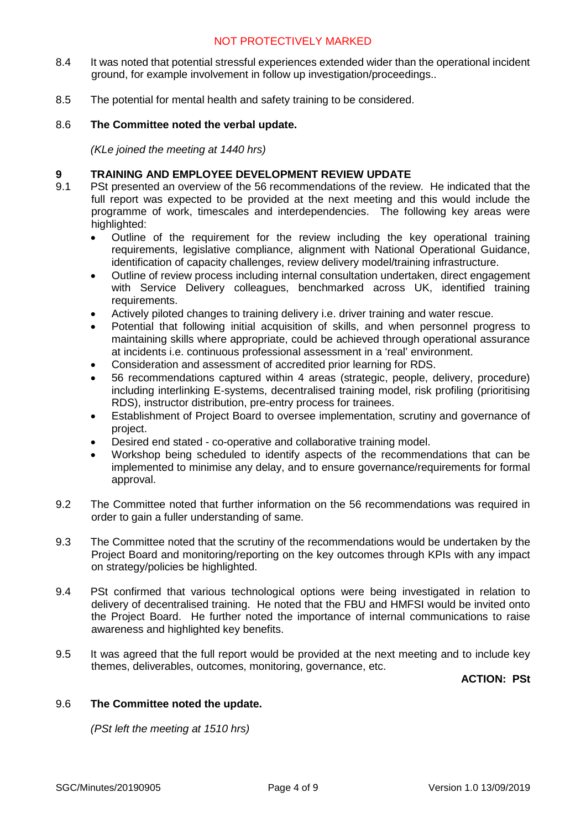- 8.4 It was noted that potential stressful experiences extended wider than the operational incident ground, for example involvement in follow up investigation/proceedings..
- 8.5 The potential for mental health and safety training to be considered.

## 8.6 **The Committee noted the verbal update.**

*(KLe joined the meeting at 1440 hrs)*

## **9 TRAINING AND EMPLOYEE DEVELOPMENT REVIEW UPDATE**

- 9.1 PSt presented an overview of the 56 recommendations of the review. He indicated that the full report was expected to be provided at the next meeting and this would include the programme of work, timescales and interdependencies. The following key areas were highlighted:
	- Outline of the requirement for the review including the key operational training requirements, legislative compliance, alignment with National Operational Guidance, identification of capacity challenges, review delivery model/training infrastructure.
	- Outline of review process including internal consultation undertaken, direct engagement with Service Delivery colleagues, benchmarked across UK, identified training requirements.
	- Actively piloted changes to training delivery i.e. driver training and water rescue.
	- Potential that following initial acquisition of skills, and when personnel progress to maintaining skills where appropriate, could be achieved through operational assurance at incidents i.e. continuous professional assessment in a 'real' environment.
	- Consideration and assessment of accredited prior learning for RDS.
	- 56 recommendations captured within 4 areas (strategic, people, delivery, procedure) including interlinking E-systems, decentralised training model, risk profiling (prioritising RDS), instructor distribution, pre-entry process for trainees.
	- Establishment of Project Board to oversee implementation, scrutiny and governance of project.
	- Desired end stated co-operative and collaborative training model.
	- Workshop being scheduled to identify aspects of the recommendations that can be implemented to minimise any delay, and to ensure governance/requirements for formal approval.
- 9.2 The Committee noted that further information on the 56 recommendations was required in order to gain a fuller understanding of same.
- 9.3 The Committee noted that the scrutiny of the recommendations would be undertaken by the Project Board and monitoring/reporting on the key outcomes through KPIs with any impact on strategy/policies be highlighted.
- 9.4 PSt confirmed that various technological options were being investigated in relation to delivery of decentralised training. He noted that the FBU and HMFSI would be invited onto the Project Board. He further noted the importance of internal communications to raise awareness and highlighted key benefits.
- 9.5 It was agreed that the full report would be provided at the next meeting and to include key themes, deliverables, outcomes, monitoring, governance, etc.

**ACTION: PSt**

#### 9.6 **The Committee noted the update.**

*(PSt left the meeting at 1510 hrs)*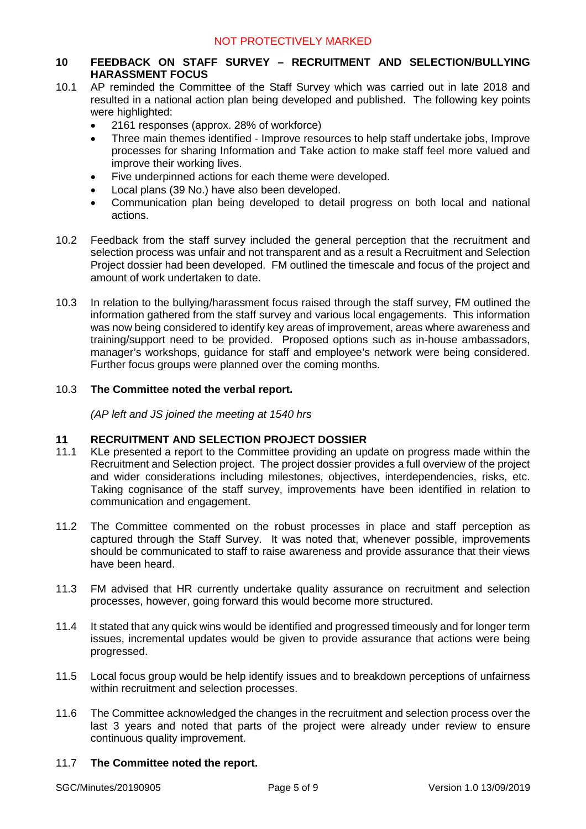# **10 FEEDBACK ON STAFF SURVEY – RECRUITMENT AND SELECTION/BULLYING HARASSMENT FOCUS**

- 10.1 AP reminded the Committee of the Staff Survey which was carried out in late 2018 and resulted in a national action plan being developed and published. The following key points were highlighted:
	- 2161 responses (approx. 28% of workforce)
	- Three main themes identified Improve resources to help staff undertake jobs, Improve processes for sharing Information and Take action to make staff feel more valued and improve their working lives.
	- Five underpinned actions for each theme were developed.
	- Local plans (39 No.) have also been developed.
	- Communication plan being developed to detail progress on both local and national actions.
- 10.2 Feedback from the staff survey included the general perception that the recruitment and selection process was unfair and not transparent and as a result a Recruitment and Selection Project dossier had been developed. FM outlined the timescale and focus of the project and amount of work undertaken to date.
- 10.3 In relation to the bullying/harassment focus raised through the staff survey, FM outlined the information gathered from the staff survey and various local engagements. This information was now being considered to identify key areas of improvement, areas where awareness and training/support need to be provided. Proposed options such as in-house ambassadors, manager's workshops, quidance for staff and employee's network were being considered. Further focus groups were planned over the coming months.

## 10.3 **The Committee noted the verbal report.**

*(AP left and JS joined the meeting at 1540 hrs*

#### **11 RECRUITMENT AND SELECTION PROJECT DOSSIER**

- 11.1 KLe presented a report to the Committee providing an update on progress made within the Recruitment and Selection project. The project dossier provides a full overview of the project and wider considerations including milestones, objectives, interdependencies, risks, etc. Taking cognisance of the staff survey, improvements have been identified in relation to communication and engagement.
- 11.2 The Committee commented on the robust processes in place and staff perception as captured through the Staff Survey. It was noted that, whenever possible, improvements should be communicated to staff to raise awareness and provide assurance that their views have been heard.
- 11.3 FM advised that HR currently undertake quality assurance on recruitment and selection processes, however, going forward this would become more structured.
- 11.4 It stated that any quick wins would be identified and progressed timeously and for longer term issues, incremental updates would be given to provide assurance that actions were being progressed.
- 11.5 Local focus group would be help identify issues and to breakdown perceptions of unfairness within recruitment and selection processes.
- 11.6 The Committee acknowledged the changes in the recruitment and selection process over the last 3 years and noted that parts of the project were already under review to ensure continuous quality improvement.

#### 11.7 **The Committee noted the report.**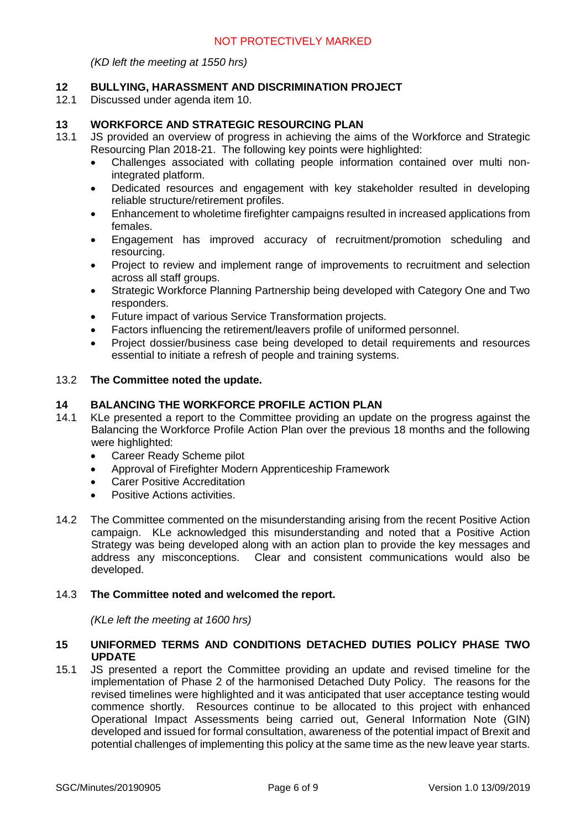*(KD left the meeting at 1550 hrs)*

## **12 BULLYING, HARASSMENT AND DISCRIMINATION PROJECT**

12.1 Discussed under agenda item 10.

#### **13 WORKFORCE AND STRATEGIC RESOURCING PLAN**

- 13.1 JS provided an overview of progress in achieving the aims of the Workforce and Strategic Resourcing Plan 2018-21. The following key points were highlighted:
	- Challenges associated with collating people information contained over multi nonintegrated platform.
	- Dedicated resources and engagement with key stakeholder resulted in developing reliable structure/retirement profiles.
	- Enhancement to wholetime firefighter campaigns resulted in increased applications from females.
	- Engagement has improved accuracy of recruitment/promotion scheduling and resourcing.
	- Project to review and implement range of improvements to recruitment and selection across all staff groups.
	- Strategic Workforce Planning Partnership being developed with Category One and Two responders.
	- Future impact of various Service Transformation projects.
	- Factors influencing the retirement/leavers profile of uniformed personnel.
	- Project dossier/business case being developed to detail requirements and resources essential to initiate a refresh of people and training systems.

#### 13.2 **The Committee noted the update.**

# **14 BALANCING THE WORKFORCE PROFILE ACTION PLAN**

- 14.1 KLe presented a report to the Committee providing an update on the progress against the Balancing the Workforce Profile Action Plan over the previous 18 months and the following were highlighted:
	- Career Ready Scheme pilot
	- Approval of Firefighter Modern Apprenticeship Framework
	- Carer Positive Accreditation
	- Positive Actions activities.
- 14.2 The Committee commented on the misunderstanding arising from the recent Positive Action campaign. KLe acknowledged this misunderstanding and noted that a Positive Action Strategy was being developed along with an action plan to provide the key messages and address any misconceptions. Clear and consistent communications would also be developed.

# 14.3 **The Committee noted and welcomed the report.**

*(KLe left the meeting at 1600 hrs)*

## **15 UNIFORMED TERMS AND CONDITIONS DETACHED DUTIES POLICY PHASE TWO UPDATE**

15.1 JS presented a report the Committee providing an update and revised timeline for the implementation of Phase 2 of the harmonised Detached Duty Policy. The reasons for the revised timelines were highlighted and it was anticipated that user acceptance testing would commence shortly. Resources continue to be allocated to this project with enhanced Operational Impact Assessments being carried out, General Information Note (GIN) developed and issued for formal consultation, awareness of the potential impact of Brexit and potential challenges of implementing this policy at the same time as the new leave year starts.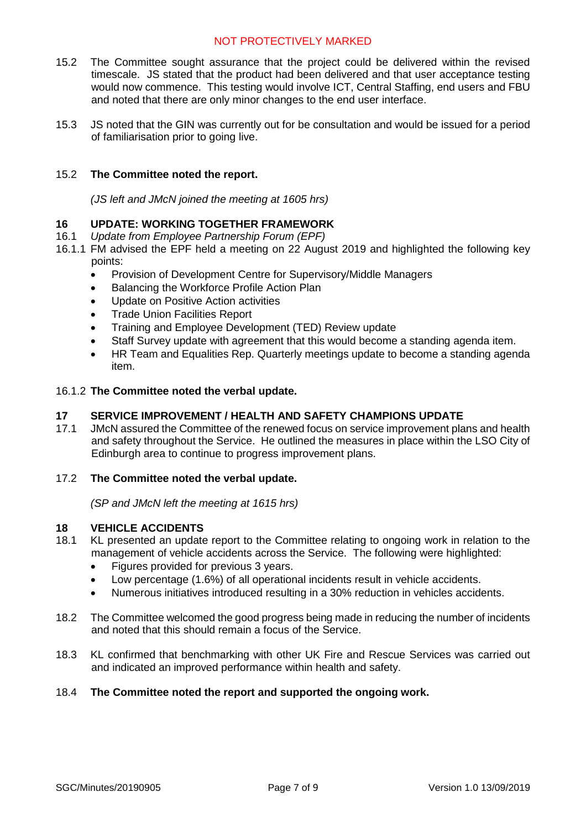- 15.2 The Committee sought assurance that the project could be delivered within the revised timescale. JS stated that the product had been delivered and that user acceptance testing would now commence. This testing would involve ICT, Central Staffing, end users and FBU and noted that there are only minor changes to the end user interface.
- 15.3 JS noted that the GIN was currently out for be consultation and would be issued for a period of familiarisation prior to going live.

# 15.2 **The Committee noted the report.**

*(JS left and JMcN joined the meeting at 1605 hrs)*

# **16 UPDATE: WORKING TOGETHER FRAMEWORK**

- 16.1 *Update from Employee Partnership Forum (EPF)*
- 16.1.1 FM advised the EPF held a meeting on 22 August 2019 and highlighted the following key points:
	- Provision of Development Centre for Supervisory/Middle Managers
	- Balancing the Workforce Profile Action Plan
	- Update on Positive Action activities
	- Trade Union Facilities Report
	- Training and Employee Development (TED) Review update
	- Staff Survey update with agreement that this would become a standing agenda item.
	- HR Team and Equalities Rep. Quarterly meetings update to become a standing agenda item.

## 16.1.2 **The Committee noted the verbal update.**

# **17 SERVICE IMPROVEMENT / HEALTH AND SAFETY CHAMPIONS UPDATE**

17.1 JMcN assured the Committee of the renewed focus on service improvement plans and health and safety throughout the Service. He outlined the measures in place within the LSO City of Edinburgh area to continue to progress improvement plans.

# 17.2 **The Committee noted the verbal update.**

*(SP and JMcN left the meeting at 1615 hrs)*

# **18 VEHICLE ACCIDENTS**

- 18.1 KL presented an update report to the Committee relating to ongoing work in relation to the management of vehicle accidents across the Service. The following were highlighted:
	- Figures provided for previous 3 years.
	- Low percentage (1.6%) of all operational incidents result in vehicle accidents.
	- Numerous initiatives introduced resulting in a 30% reduction in vehicles accidents.
- 18.2 The Committee welcomed the good progress being made in reducing the number of incidents and noted that this should remain a focus of the Service.
- 18.3 KL confirmed that benchmarking with other UK Fire and Rescue Services was carried out and indicated an improved performance within health and safety.

#### 18.4 **The Committee noted the report and supported the ongoing work.**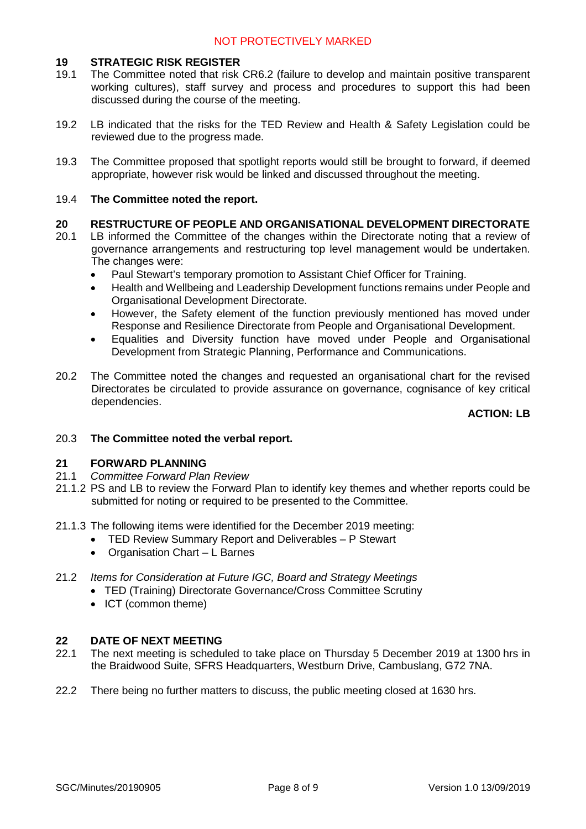## **19 STRATEGIC RISK REGISTER**

- 19.1 The Committee noted that risk CR6.2 (failure to develop and maintain positive transparent working cultures), staff survey and process and procedures to support this had been discussed during the course of the meeting.
- 19.2 LB indicated that the risks for the TED Review and Health & Safety Legislation could be reviewed due to the progress made.
- 19.3 The Committee proposed that spotlight reports would still be brought to forward, if deemed appropriate, however risk would be linked and discussed throughout the meeting.

## 19.4 **The Committee noted the report.**

## **20 RESTRUCTURE OF PEOPLE AND ORGANISATIONAL DEVELOPMENT DIRECTORATE**

- 20.1 LB informed the Committee of the changes within the Directorate noting that a review of governance arrangements and restructuring top level management would be undertaken. The changes were:
	- Paul Stewart's temporary promotion to Assistant Chief Officer for Training.
	- Health and Wellbeing and Leadership Development functions remains under People and Organisational Development Directorate.
	- However, the Safety element of the function previously mentioned has moved under Response and Resilience Directorate from People and Organisational Development.
	- Equalities and Diversity function have moved under People and Organisational Development from Strategic Planning, Performance and Communications.
- 20.2 The Committee noted the changes and requested an organisational chart for the revised Directorates be circulated to provide assurance on governance, cognisance of key critical dependencies.

# **ACTION: LB**

20.3 **The Committee noted the verbal report.**

# **21 FORWARD PLANNING**

- 21.1 *Committee Forward Plan Review*
- 21.1.2 PS and LB to review the Forward Plan to identify key themes and whether reports could be submitted for noting or required to be presented to the Committee.
- 21.1.3 The following items were identified for the December 2019 meeting:
	- TED Review Summary Report and Deliverables P Stewart
	- Organisation Chart L Barnes
- 21.2 *Items for Consideration at Future IGC, Board and Strategy Meetings*
	- TED (Training) Directorate Governance/Cross Committee Scrutiny
	- ICT (common theme)

#### **22 DATE OF NEXT MEETING**

- 22.1 The next meeting is scheduled to take place on Thursday 5 December 2019 at 1300 hrs in the Braidwood Suite, SFRS Headquarters, Westburn Drive, Cambuslang, G72 7NA.
- 22.2 There being no further matters to discuss, the public meeting closed at 1630 hrs.